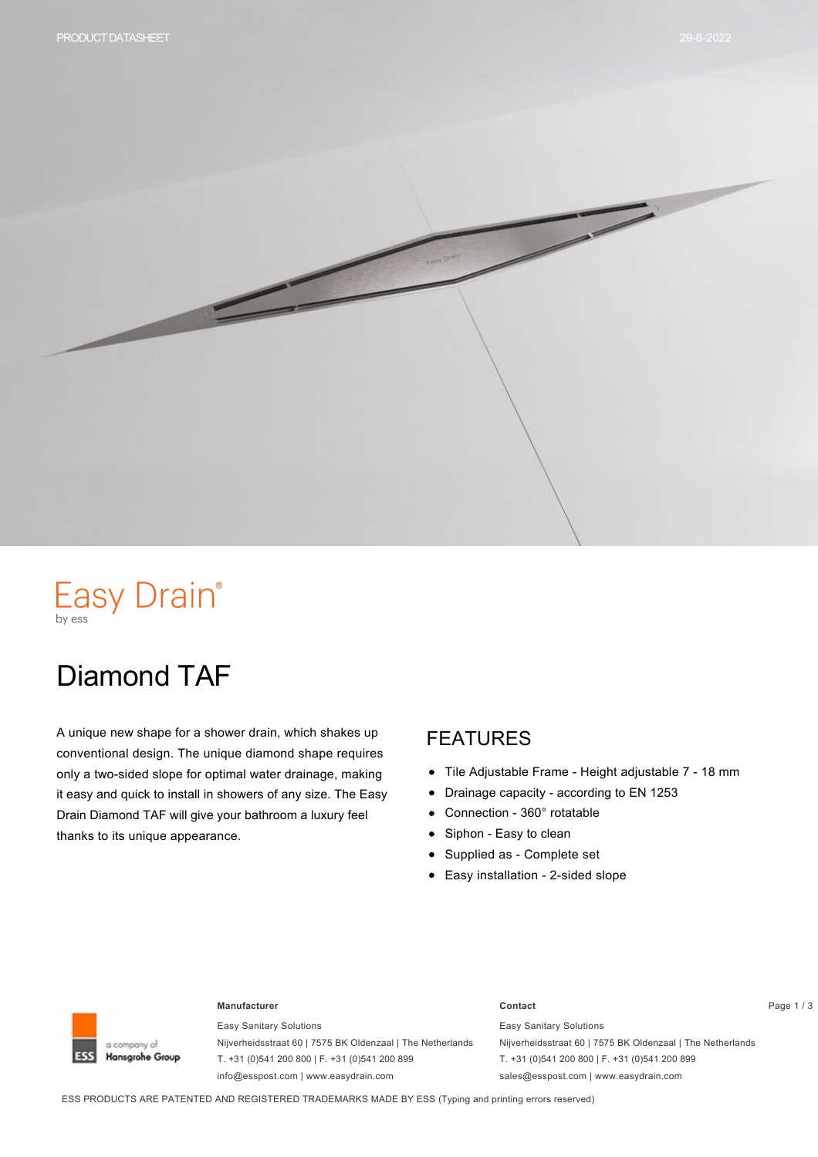

# Easy Drain®

# Diamond TAF

A unique new shape for a shower drain, which shakes up conventional design. The unique diamond shape requires only a two-sided slope for optimal water drainage, making it easy and quick to install in showers of any size. The Easy Drain Diamond TAF will give your bathroom a luxury feel thanks to its unique appearance.

#### FEATURES

- $\bullet$ Tile Adjustable Frame - Height adjustable 7 - 18 mm
- Drainage capacity according to EN 1253  $\bullet$
- Connection 360° rotatable  $\bullet$
- Siphon Easy to clean  $\bullet$
- Supplied as Complete set
- Easy installation 2-sided slope



#### **Manufacturer Contact** Page 1 / 3

Easy Sanitary Solutions Nijverheidsstraat 60 | 7575 BK Oldenzaal | The Netherlands T. +31 (0)541 200 800 | F. +31 (0)541 200 899 info@esspost.com | www.easydrain.com

Easy Sanitary Solutions Nijverheidsstraat 60 | 7575 BK Oldenzaal | The Netherlands T. +31 (0)541 200 800 | F. +31 (0)541 200 899 sales@esspost.com | www.easydrain.com

ESS PRODUCTS ARE PATENTED AND REGISTERED TRADEMARKS MADE BY ESS (Typing and printing errors reserved)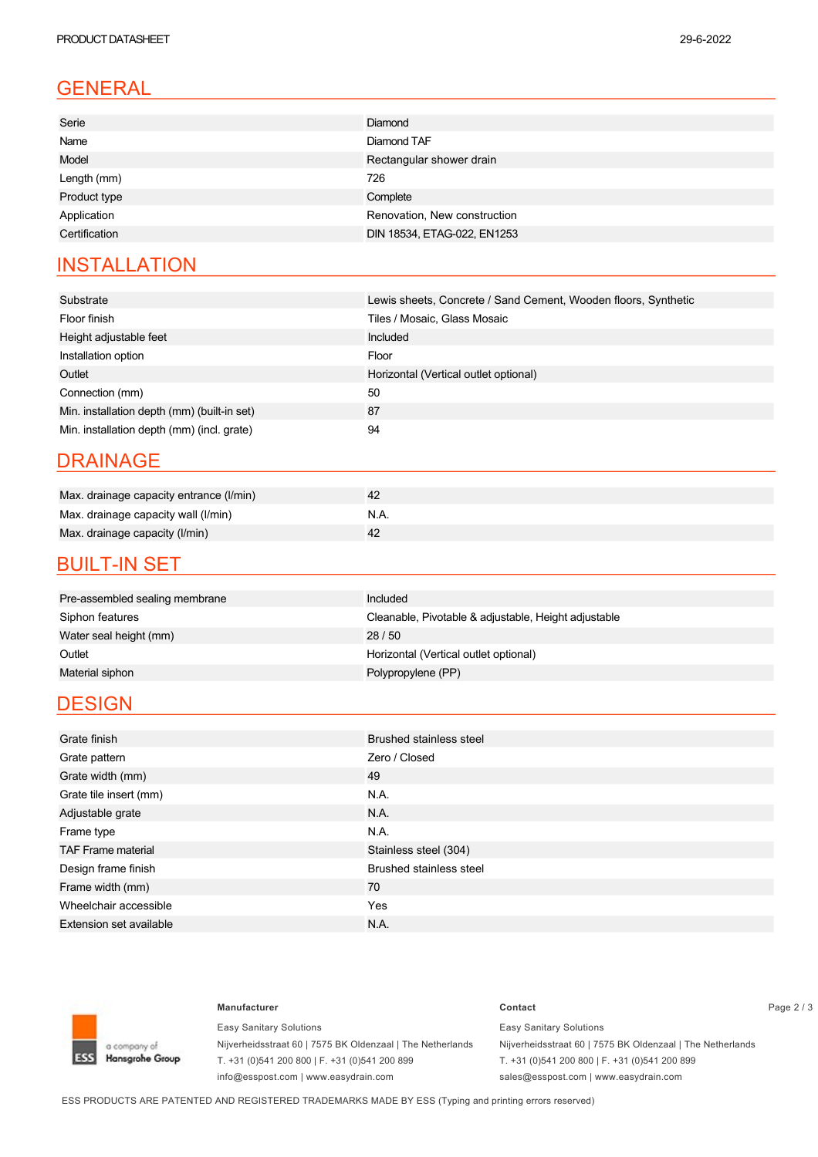### GENERAL

| Serie         | <b>Diamond</b>               |  |  |
|---------------|------------------------------|--|--|
| Name          | Diamond TAF                  |  |  |
| Model         | Rectangular shower drain     |  |  |
| Length (mm)   | 726                          |  |  |
| Product type  | Complete                     |  |  |
| Application   | Renovation, New construction |  |  |
| Certification | DIN 18534, ETAG-022, EN1253  |  |  |
|               |                              |  |  |

### **INSTALLATION**

| Substrate                                   | Lewis sheets, Concrete / Sand Cement, Wooden floors, Synthetic |  |  |  |
|---------------------------------------------|----------------------------------------------------------------|--|--|--|
| Floor finish                                | Tiles / Mosaic, Glass Mosaic                                   |  |  |  |
| Height adjustable feet                      | Included                                                       |  |  |  |
| Installation option                         | Floor                                                          |  |  |  |
| Outlet                                      | Horizontal (Vertical outlet optional)                          |  |  |  |
| Connection (mm)                             | 50                                                             |  |  |  |
| Min. installation depth (mm) (built-in set) | 87                                                             |  |  |  |
| Min. installation depth (mm) (incl. grate)  | 94                                                             |  |  |  |

#### DRAINAGE

| Max. drainage capacity entrance (I/min) |      |
|-----------------------------------------|------|
| Max. drainage capacity wall (I/min)     | N.A. |
| Max. drainage capacity (I/min)          |      |

#### **BUILT-IN SET**

| Pre-assembled sealing membrane | Included                                             |
|--------------------------------|------------------------------------------------------|
| Siphon features                | Cleanable, Pivotable & adjustable, Height adjustable |
| Water seal height (mm)         | 28/50                                                |
| Outlet                         | Horizontal (Vertical outlet optional)                |
| Material siphon                | Polypropylene (PP)                                   |
|                                |                                                      |

#### **DESIGN**

| Grate finish                   | <b>Brushed stainless steel</b> |  |  |  |
|--------------------------------|--------------------------------|--|--|--|
| Grate pattern                  | Zero / Closed                  |  |  |  |
| Grate width (mm)               | 49                             |  |  |  |
| Grate tile insert (mm)         | N.A.                           |  |  |  |
| Adjustable grate               | N.A.                           |  |  |  |
| Frame type                     | N.A.                           |  |  |  |
| <b>TAF Frame material</b>      | Stainless steel (304)          |  |  |  |
| Design frame finish            | <b>Brushed stainless steel</b> |  |  |  |
| Frame width (mm)               | 70                             |  |  |  |
| Wheelchair accessible          | Yes                            |  |  |  |
| <b>Extension set available</b> | N.A.                           |  |  |  |



Easy Sanitary Solutions Nijverheidsstraat 60 | 7575 BK Oldenzaal | The Netherlands T. +31 (0)541 200 800 | F. +31 (0)541 200 899 info@esspost.com | www.easydrain.com

#### **Manufacturer Contact** Page 2 / 3 Easy Sanitary Solutions Nijverheidsstraat 60 | 7575 BK Oldenzaal | The Netherlands

T. +31 (0)541 200 800 | F. +31 (0)541 200 899 sales@esspost.com | www.easydrain.com

ESS PRODUCTS ARE PATENTED AND REGISTERED TRADEMARKS MADE BY ESS (Typing and printing errors reserved)